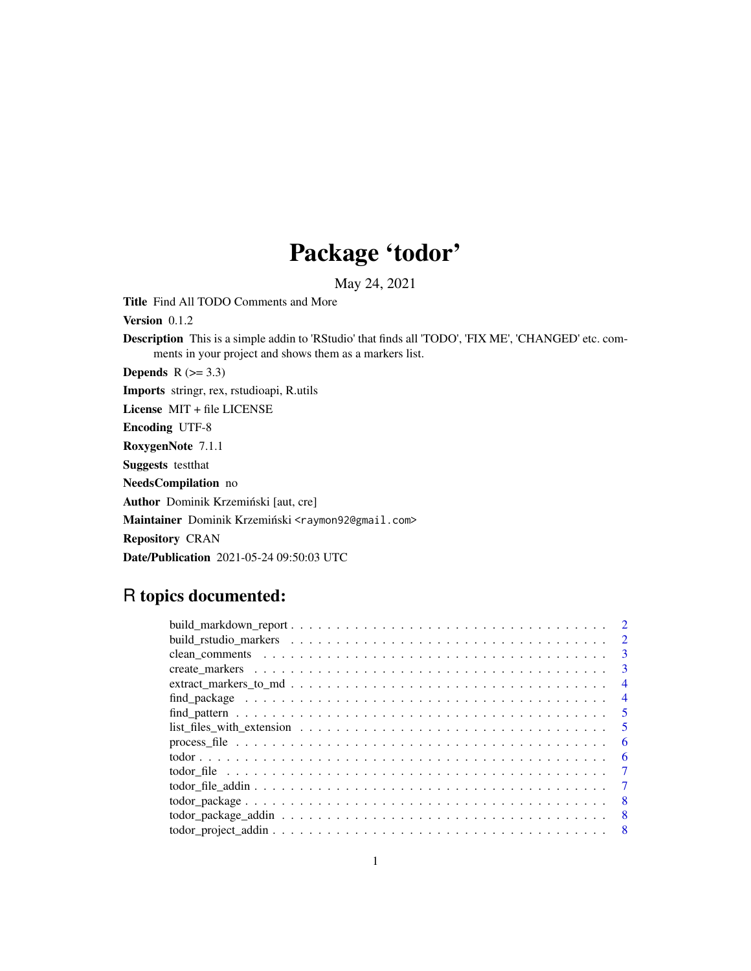## Package 'todor'

May 24, 2021

Title Find All TODO Comments and More

Version 0.1.2

Description This is a simple addin to 'RStudio' that finds all 'TODO', 'FIX ME', 'CHANGED' etc. comments in your project and shows them as a markers list.

Depends  $R$  ( $>= 3.3$ )

Imports stringr, rex, rstudioapi, R.utils

License MIT + file LICENSE

Encoding UTF-8

RoxygenNote 7.1.1

Suggests testthat

NeedsCompilation no

Author Dominik Krzemiński [aut, cre]

Maintainer Dominik Krzemiński <raymon92@gmail.com>

Repository CRAN

Date/Publication 2021-05-24 09:50:03 UTC

### R topics documented:

|                                                                                                                               | $\mathcal{D}_{\mathcal{L}}$ |
|-------------------------------------------------------------------------------------------------------------------------------|-----------------------------|
|                                                                                                                               | $\mathcal{E}$               |
|                                                                                                                               | $\mathcal{R}$               |
|                                                                                                                               | 4                           |
|                                                                                                                               | $\overline{4}$              |
|                                                                                                                               | -5                          |
| $list_{\text{__}}$ files_with_extension $\ldots \ldots \ldots \ldots \ldots \ldots \ldots \ldots \ldots \ldots \ldots \ldots$ | -5                          |
|                                                                                                                               | -6                          |
|                                                                                                                               | 6                           |
|                                                                                                                               | $\tau$                      |
|                                                                                                                               |                             |
|                                                                                                                               | -8                          |
|                                                                                                                               | 8                           |
|                                                                                                                               | - 8                         |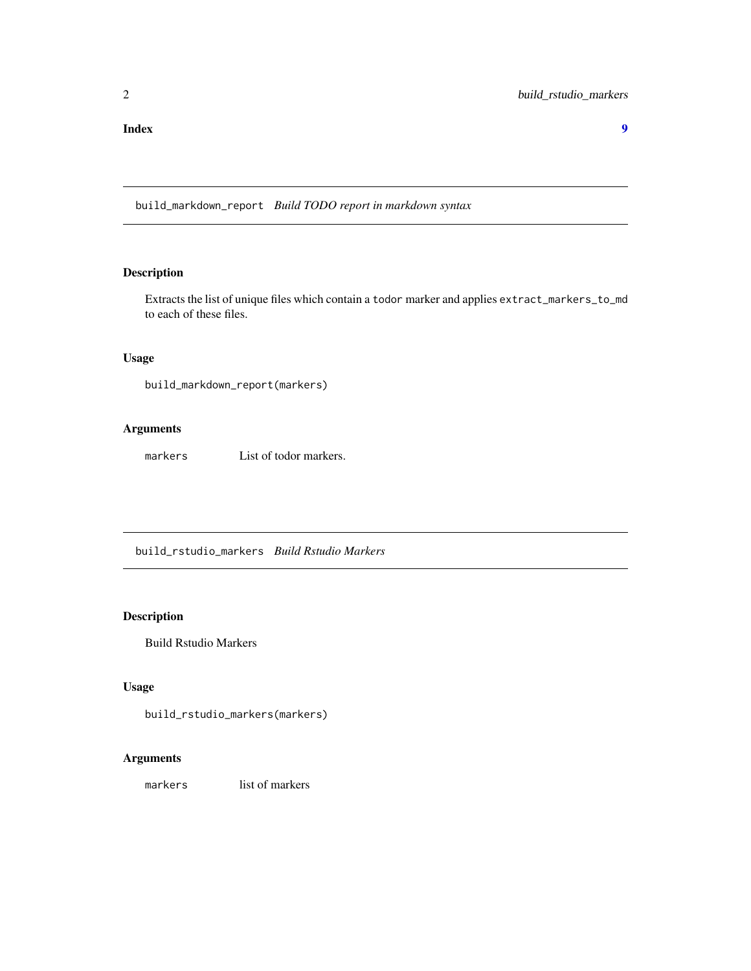<span id="page-1-0"></span>build\_markdown\_report *Build TODO report in markdown syntax*

#### Description

Extracts the list of unique files which contain a todor marker and applies extract\_markers\_to\_md to each of these files.

#### Usage

```
build_markdown_report(markers)
```
#### Arguments

markers List of todor markers.

build\_rstudio\_markers *Build Rstudio Markers*

#### Description

Build Rstudio Markers

#### Usage

```
build_rstudio_markers(markers)
```
#### Arguments

markers list of markers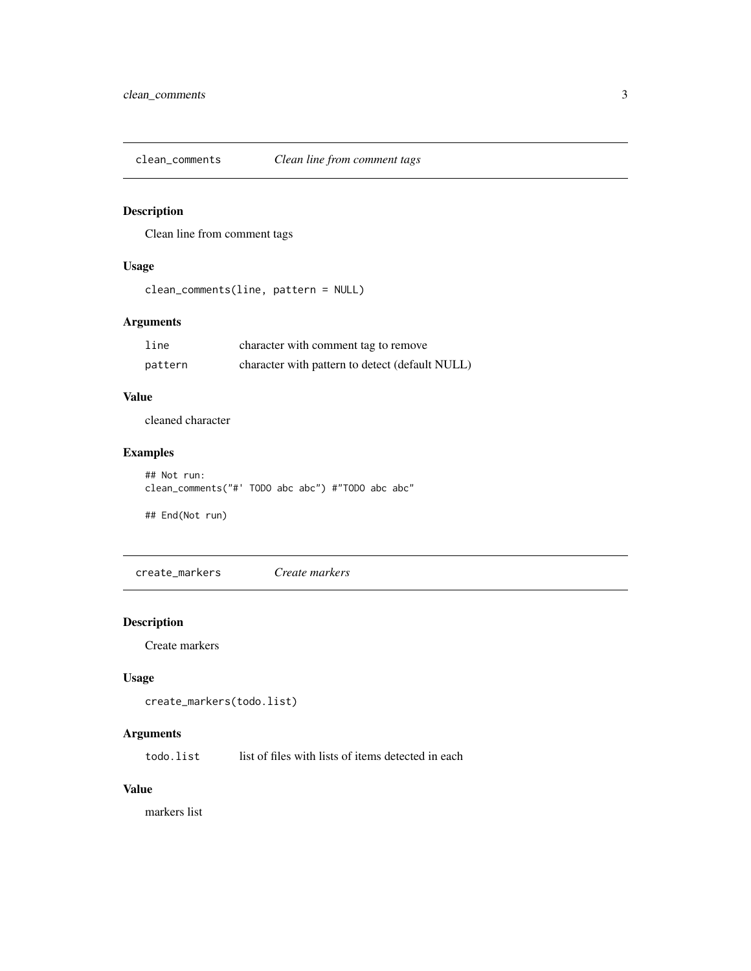<span id="page-2-0"></span>clean\_comments *Clean line from comment tags*

#### Description

Clean line from comment tags

#### Usage

```
clean_comments(line, pattern = NULL)
```
#### Arguments

| line    | character with comment tag to remove            |
|---------|-------------------------------------------------|
| pattern | character with pattern to detect (default NULL) |

#### Value

cleaned character

#### Examples

```
## Not run:
clean_comments("#' TODO abc abc") #"TODO abc abc"
```
## End(Not run)

create\_markers *Create markers*

#### Description

Create markers

#### Usage

```
create_markers(todo.list)
```
#### Arguments

todo. list list of files with lists of items detected in each

#### Value

markers list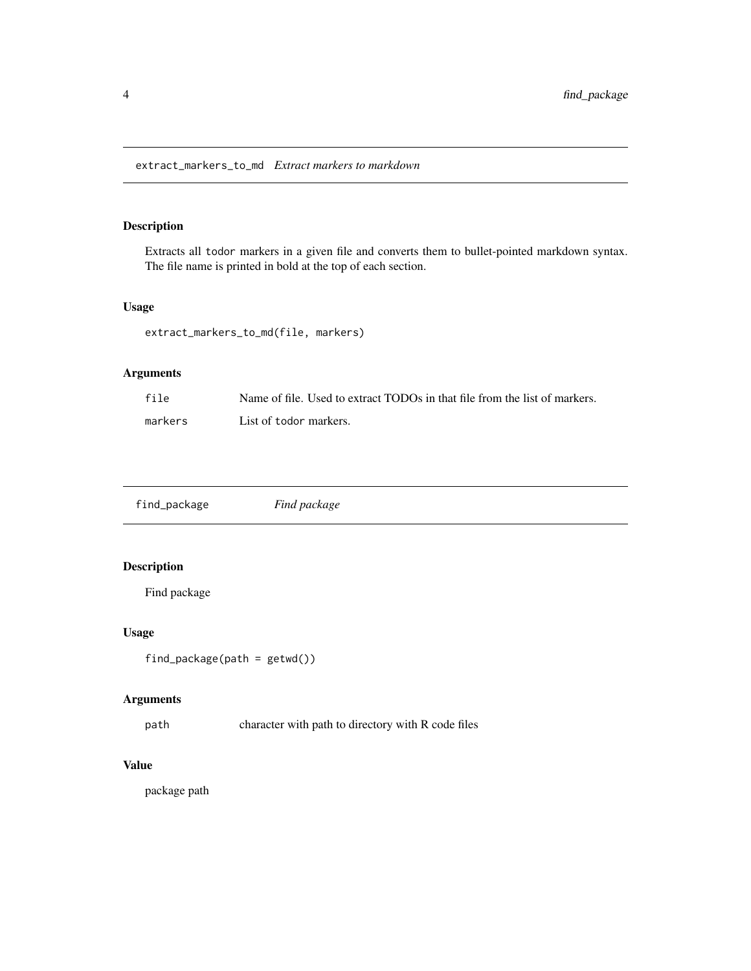#### <span id="page-3-0"></span>Description

Extracts all todor markers in a given file and converts them to bullet-pointed markdown syntax. The file name is printed in bold at the top of each section.

#### Usage

```
extract_markers_to_md(file, markers)
```
#### Arguments

| file    | Name of file. Used to extract TODOs in that file from the list of markers. |
|---------|----------------------------------------------------------------------------|
| markers | List of todor markers.                                                     |

| find_package | Find package |  |
|--------------|--------------|--|
|--------------|--------------|--|

#### Description

Find package

#### Usage

```
find_package(path = getwd())
```
#### Arguments

path character with path to directory with R code files

#### Value

package path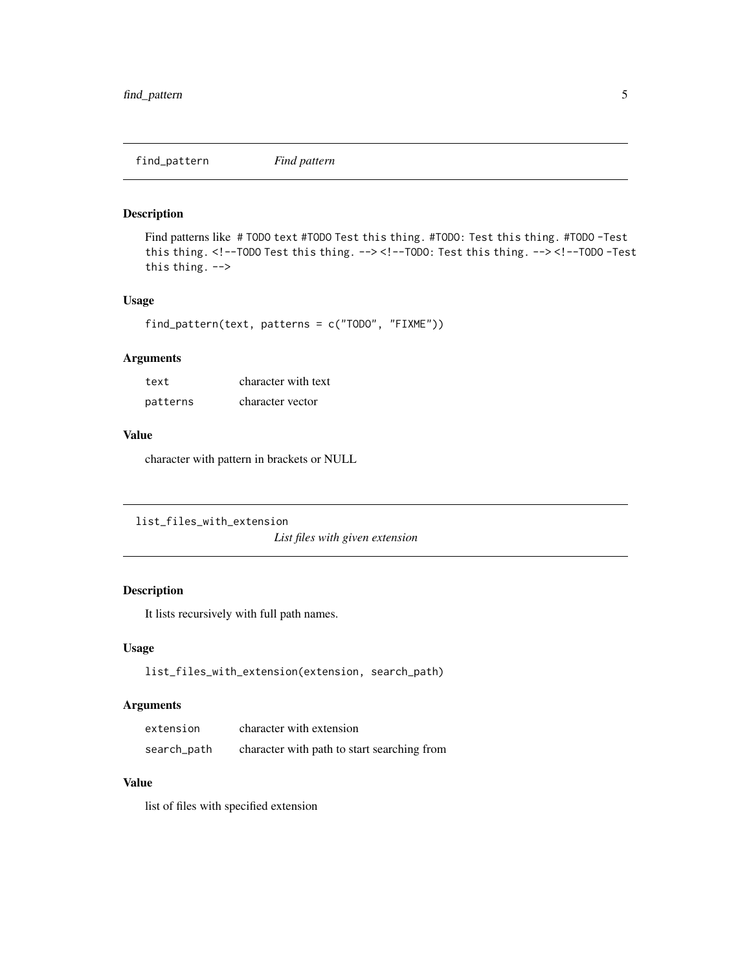<span id="page-4-0"></span>find\_pattern *Find pattern*

#### Description

Find patterns like # TODO text #TODO Test this thing. #TODO: Test this thing. #TODO -Test this thing. <!--TODO Test this thing. --> <!--TODO: Test this thing. --> <!--TODO -Test this thing. -->

#### Usage

```
find_pattern(text, patterns = c("TODO", "FIXME"))
```
#### Arguments

| text     | character with text |
|----------|---------------------|
| patterns | character vector    |

#### Value

character with pattern in brackets or NULL

```
list_files_with_extension
```
*List files with given extension*

#### Description

It lists recursively with full path names.

#### Usage

list\_files\_with\_extension(extension, search\_path)

#### Arguments

| extension   | character with extension                    |
|-------------|---------------------------------------------|
| search_path | character with path to start searching from |

#### Value

list of files with specified extension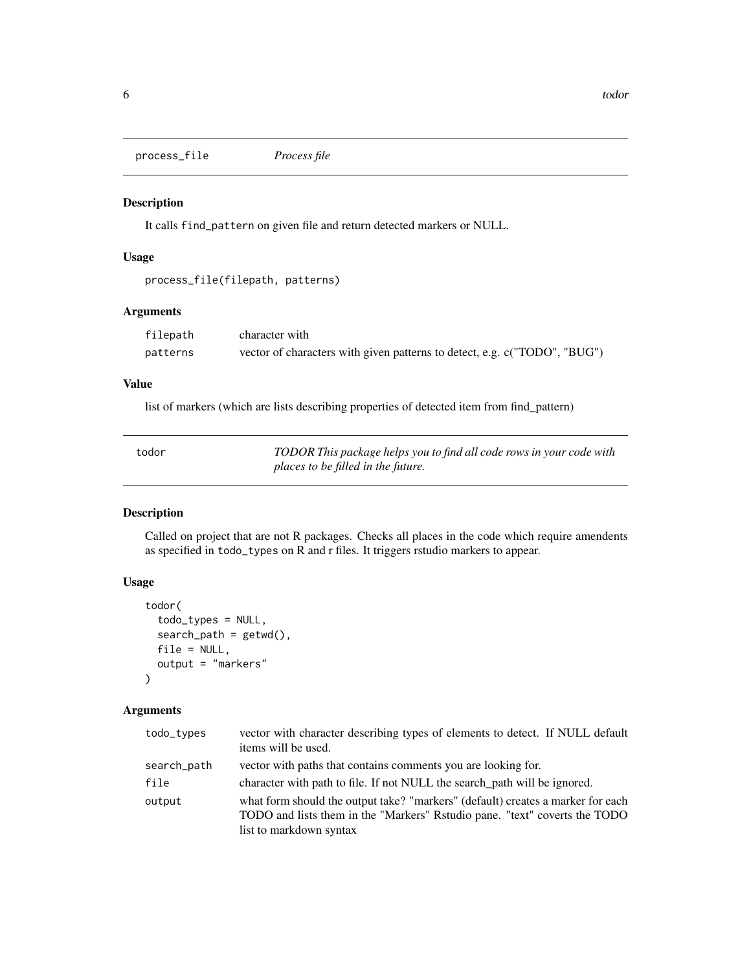<span id="page-5-0"></span>process\_file *Process file*

#### Description

It calls find\_pattern on given file and return detected markers or NULL.

#### Usage

```
process_file(filepath, patterns)
```
#### Arguments

| filepath | character with                                                            |
|----------|---------------------------------------------------------------------------|
| patterns | vector of characters with given patterns to detect, e.g. c("TODO", "BUG") |

#### Value

list of markers (which are lists describing properties of detected item from find\_pattern)

| todor | TODOR This package helps you to find all code rows in your code with |
|-------|----------------------------------------------------------------------|
|       | places to be filled in the future.                                   |

#### Description

Called on project that are not R packages. Checks all places in the code which require amendents as specified in todo\_types on R and r files. It triggers rstudio markers to appear.

#### Usage

```
todor(
  todo_types = NULL,
  search\_path = getwd(),
  file = NULL,
  output = "markers"
\mathcal{L}
```
#### Arguments

| todo_types  | vector with character describing types of elements to detect. If NULL default<br>items will be used.                                                                                      |
|-------------|-------------------------------------------------------------------------------------------------------------------------------------------------------------------------------------------|
| search_path | vector with paths that contains comments you are looking for.                                                                                                                             |
| file        | character with path to file. If not NULL the search path will be ignored.                                                                                                                 |
| output      | what form should the output take? "markers" (default) creates a marker for each<br>TODO and lists them in the "Markers" Ristudio pane. "text" coverts the TODO<br>list to markdown syntax |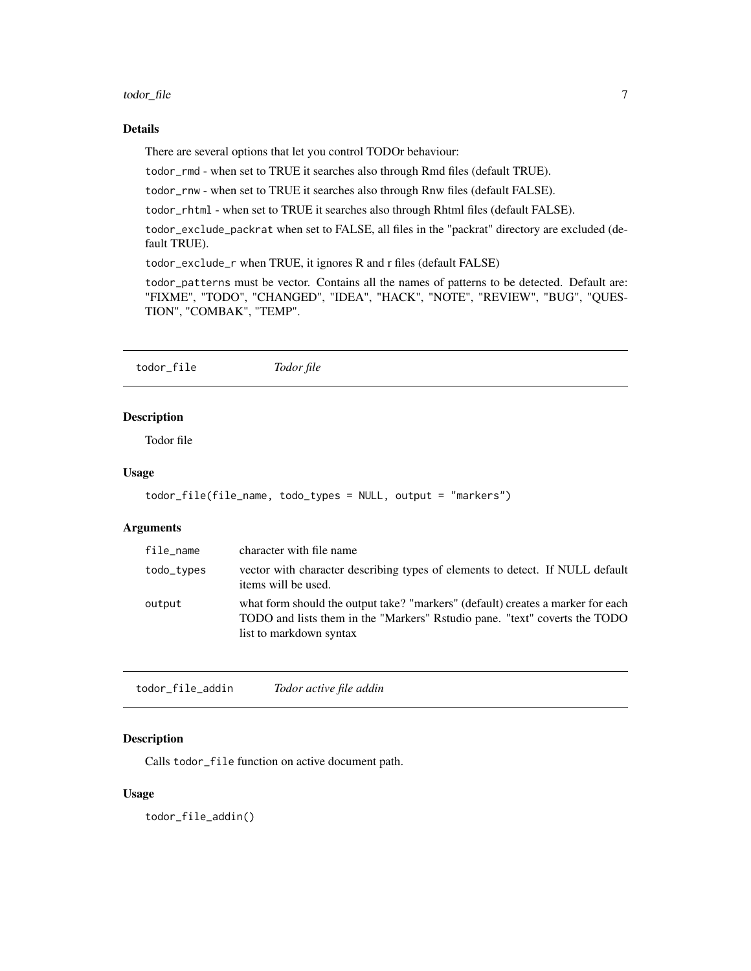#### <span id="page-6-0"></span>todor\_file 7

#### Details

There are several options that let you control TODOr behaviour:

todor\_rmd - when set to TRUE it searches also through Rmd files (default TRUE).

todor\_rnw - when set to TRUE it searches also through Rnw files (default FALSE).

todor\_rhtml - when set to TRUE it searches also through Rhtml files (default FALSE).

todor\_exclude\_packrat when set to FALSE, all files in the "packrat" directory are excluded (default TRUE).

todor\_exclude\_r when TRUE, it ignores R and r files (default FALSE)

todor\_patterns must be vector. Contains all the names of patterns to be detected. Default are: "FIXME", "TODO", "CHANGED", "IDEA", "HACK", "NOTE", "REVIEW", "BUG", "QUES-TION", "COMBAK", "TEMP".

todor\_file *Todor file*

#### Description

Todor file

#### Usage

```
todor_file(file_name, todo_types = NULL, output = "markers")
```
#### Arguments

| file_name  | character with file name                                                                                                                                                                  |
|------------|-------------------------------------------------------------------------------------------------------------------------------------------------------------------------------------------|
| todo_types | vector with character describing types of elements to detect. If NULL default<br>items will be used.                                                                                      |
| output     | what form should the output take? "markers" (default) creates a marker for each<br>TODO and lists them in the "Markers" Ristudio pane. "text" coverts the TODO<br>list to markdown syntax |

todor\_file\_addin *Todor active file addin*

#### Description

Calls todor\_file function on active document path.

#### Usage

todor\_file\_addin()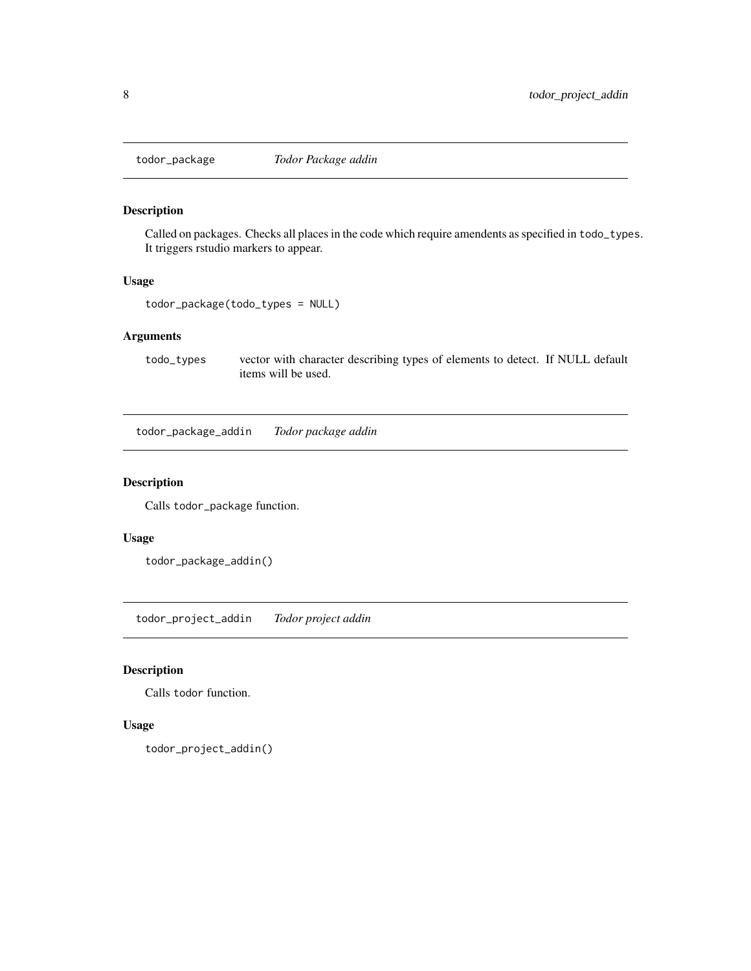<span id="page-7-0"></span>

#### Description

Called on packages. Checks all places in the code which require amendents as specified in todo\_types. It triggers rstudio markers to appear.

#### Usage

todor\_package(todo\_types = NULL)

#### Arguments

todo\_types vector with character describing types of elements to detect. If NULL default items will be used.

todor\_package\_addin *Todor package addin*

#### Description

Calls todor\_package function.

#### Usage

```
todor_package_addin()
```
todor\_project\_addin *Todor project addin*

#### Description

Calls todor function.

#### Usage

todor\_project\_addin()